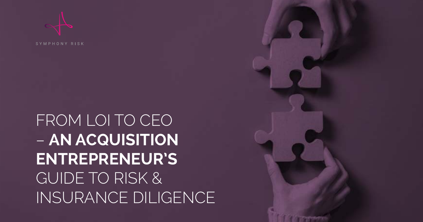FROM LOI TO CEO – **AN ACQUISITION ENTREPRENEUR'S** GUIDE TO RISK & INSURANCE DILIGENCE

SYMPHONY RISK

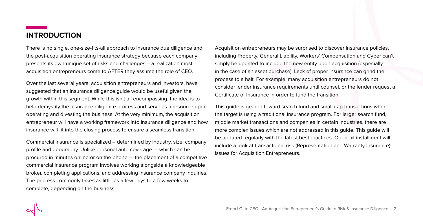## **INTRODUCTION**

There is no single, one-size-fits-all approach to insurance due diligence and the post-acquisition operating insurance strategy because each company presents its own unique set of risks and challenges – a realization most acquisition entrepreneurs come to AFTER they assume the role of CEO.

Over the last several years, acquisition entrepreneurs and investors, have suggested that an insurance diligence guide would be useful given the growth within this segment. While this isn't all encompassing, the idea is to help demystify the insurance diligence process and serve as a resource upon operating and divesting the business. At the very minimum, the acquisition entrepreneur will have a working framework into insurance diligence and how insurance will fit into the closing process to ensure a seamless transition.

Commercial insurance is specialized – determined by industry, size, company profile and geography. Unlike personal auto coverage — which can be procured in minutes online or on the phone — the placement of a competitive commercial insurance program involves working alongside a knowledgeable broker, completing applications, and addressing insurance company inquiries. The process commonly takes as little as a few days to a few weeks to complete, depending on the business.

Acquisition entrepreneurs may be surprised to discover insurance policies, including Property, General Liability, Workers' Compensation and Cyber can't simply be updated to include the new entity upon acquisition (especially in the case of an asset purchase). Lack of proper insurance can grind the process to a halt. For example, many acquisition entrepreneurs do not consider lender insurance requirements until counsel, or the lender request a Certificate of Insurance in order to fund the transition.

This guide is geared toward search fund and small-cap transactions where the target is using a traditional insurance program. For larger search fund, middle market transactions and companies in certain industries, there are more complex issues which are not addressed in this guide. This guide will be updated regularly with the latest best practices. Our next installment will include a look at transactional risk (Representation and Warranty Insurance) issues for Acquisition Entrepreneurs.

From LOI to CEO - An Acquisition Entrepreneur's Guide to Risk & Insurance Diligence | 2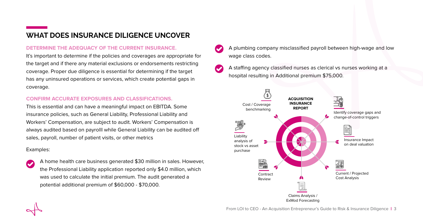## **WHAT DOES INSURANCE DILIGENCE UNCOVER**

## **DETERMINE THE ADEQUACY OF THE CURRENT INSURANCE.**

It's important to determine if the policies and coverages are appropriate for the target and if there any material exclusions or endorsements restricting coverage. Proper due diligence is essential for determining if the target has any uninsured operations or services, which create potential gaps in coverage.

### **CONFIRM ACCURATE EXPOSURES AND CLASSIFICATIONS.**

This is essential and can have a meaningful impact on EBITDA. Some insurance policies, such as General Liability, Professional Liability and Workers' Compensation, are subject to audit. Workers' Compensation is always audited based on payrolll while General Liability can be audited off sales, payroll, number of patient visits, or other metrics

## Examples:

A home health care business generated \$30 million in sales. However, the Professional Liability application reported only \$4.0 million, which was used to calculate the initial premium. The audit generated a potential additional premium of \$60,000 - \$70,000.

- A plumbing company misclassified payroll between high-wage and low wage class codes.
- A staffing agency classified nurses as clerical vs nurses working at a hospital resulting in Additional premium \$75,000.

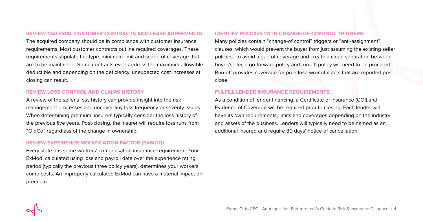#### **REVIEW MATERIAL CUSTOMER CONTRACTS AND LEASE AGREEMENTS.**

The acquired company should be in compliance with customer insurance requirements. Most customer contracts outline required coverages. These requirements stipulate the type, minimum limit and scope of coverage that are to be maintained. Some contracts even address the maximum allowable deductible and depending on the deficiency, unexpected cost increases at closing can result.

#### **REVIEW LOSS CONTROL AND CLAIMS HISTORY.**

A review of the seller's loss history can provide insight into the risk management processes and uncover any loss frequency or severity issues. When determining premium, insurers typically consider the loss history of the previous five years. Post-closing, the insurer will require loss runs from "OldCo" regardless of the change in ownership.

#### **REVIEW EXPERIENCE MODIFICATION FACTOR (EXMOD).**

Every state has some workers' compensation insurance requirement. Your ExMod, calculated using loss and payroll data over the experience rating period (typically the previous three policy years), determines your workers' comp costs. An improperly calculated ExMod can have a material impact on premium.

#### **IDENTIFY POLICIES WITH CHANGE-OF-CONTROL TRIGGERS.**

Many policies contain "change-of control" triggers or "anti-assignment" clauses, which would prevent the buyer from just assuming the existing seller policies. To avoid a gap of coverage and create a clean separation between buyer/seller, a go-forward policy and run-off policy will need to be procured. Run-off provides coverage for pre-close wrongful acts that are reported postclose.

#### **FULFILL LENDER INSURANCE REQUIREMENTS.**

As a condition of lender financing, a Certificate of Insurance (COI) and Evidence of Coverage will be required prior to closing. Each lender will have its own requirements, limits and coverages depending on the industry and assets of the business. Lenders will typically need to be named as an additional insured and require 30 days' notice of cancellation.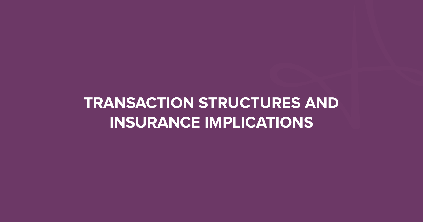# **TRANSACTION STRUCTURES AND INSURANCE IMPLICATIONS**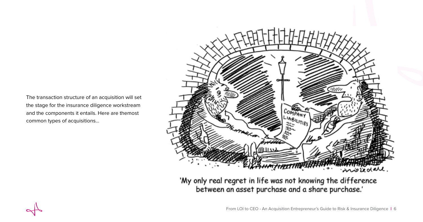The transaction structure of an acquisition will set the stage for the insurance diligence workstream and the components it entails. Here are themost common types of acquisitions...



'My only real regret in life was not knowing the difference between an asset purchase and a share purchase.'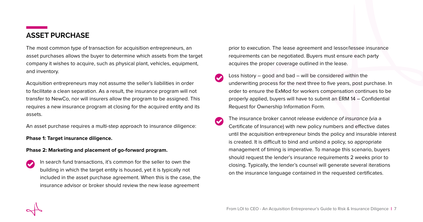## **ASSET PURCHASE**

The most common type of transaction for acquisition entrepreneurs, an asset purchases allows the buyer to determine which assets from the target company it wishes to acquire, such as physical plant, vehicles, equipment, and inventory.

Acquisition entrepreneurs may not assume the seller's liabilities in order to facilitate a clean separation. As a result, the insurance program will not transfer to NewCo, nor will insurers allow the program to be assigned. This requires a new insurance program at closing for the acquired entity and its assets.

An asset purchase requires a multi-step approach to insurance diligence:

**Phase 1: Target insurance diligence.**

#### **Phase 2: Marketing and placement of go-forward program.**

In search fund transactions, it's common for the seller to own the building in which the target entity is housed, yet it is typically not included in the asset purchase agreement. When this is the case, the insurance advisor or broker should review the new lease agreement

prior to execution. The lease agreement and lessor/lessee insurance requirements can be negotiated. Buyers must ensure each party acquires the proper coverage outlined in the lease.

- Loss history good and bad will be considered within the underwriting process for the next three to five years, post purchase. In order to ensure the ExMod for workers compensation continues to be properly applied, buyers will have to submit an ERM 14 – Confidential Request for Ownership Information Form.
- The insurance broker cannot release evidence of insurance (via a  $\overline{\mathbf{v}}$ Certificate of Insurance) with new policy numbers and effective dates until the acquisition entrepreneur binds the policy and insurable interest is created. It is difficult to bind and unbind a policy, so appropriate management of timing is imperative. To manage this scenario, buyers should request the lender's insurance requirements 2 weeks prior to closing. Typically, the lender's counsel will generate several iterations on the insurance language contained in the requested certificates.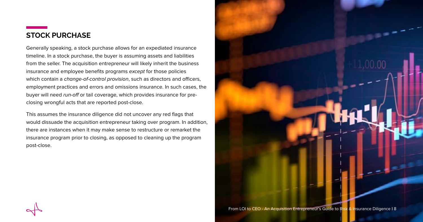## **STOCK PURCHASE**

Generally speaking, a stock purchase allows for an expediated insurance timeline. In a stock purchase, the buyer is assuming assets and liabilities from the seller. The acquisition entrepreneur will likely inherit the business insurance and employee benefits programs except for those policies which contain a *change-of-control provision*, such as directors and officers, employment practices and errors and omissions insurance. In such cases, the buyer will need run-off or tail coverage, which provides insurance for preclosing wrongful acts that are reported post-close.

This assumes the insurance diligence did not uncover any red flags that would dissuade the acquisition entrepreneur taking over program. In addition, there are instances when it may make sense to restructure or remarket the insurance program prior to closing, as opposed to cleaning up the program post-close.

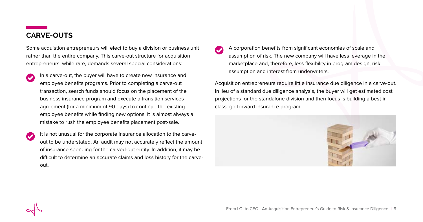## **CARVE-OUTS**

Some acquistion entrepreneurs will elect to buy a division or business unit rather than the entire company. This carve-out structure for acquisition entrepreneurs, while rare, demands several special considerations:

 $\blacktriangledown$ 

In a carve-out, the buyer will have to create new insurance and employee benefits programs. Prior to completing a carve-out transaction, search funds should focus on the placement of the business insurance program and execute a transition services agreement (for a minimum of 90 days) to continue the existing employee benefits while finding new options. It is almost always a mistake to rush the employee benefits placement post-sale.

It is not unusual for the corporate insurance allocation to the carve- $\blacktriangledown$ out to be understated. An audit may not accurately reflect the amount of insurance spending for the carved-out entity. In addition, it may be difficult to determine an accurate claims and loss history for the carveout.

A corporation benefits from significant economies of scale and assumption of risk. The new company will have less leverage in the marketplace and, therefore, less flexibility in program design, risk assumption and interest from underwriters.

Acquisition entrepreneurs require little insurance due diligence in a carve-out. In lieu of a standard due diligence analysis, the buyer will get estimated cost projections for the standalone division and then focus is building a best-inclass go-forward insurance program.

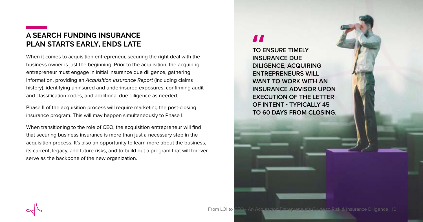## **A SEARCH FUNDING INSURANCE PLAN STARTS EARLY, ENDS LATE**

When it comes to acquisition entrepreneur, securing the right deal with the business owner is just the beginning. Prior to the acquisition, the acquiring entrepreneur must engage in initial insurance due diligence, gathering information, providing an Acquisition Insurance Report (including claims history), identifying uninsured and underinsured exposures, confirming audit and classification codes, and additional due diligence as needed.

Phase II of the acquisition process will require marketing the post-closing insurance program. This will may happen simultaneously to Phase I.

When transitioning to the role of CEO, the acquisition entrepreneur will find that securing business insurance is more than just a necessary step in the acquisition process. It's also an opportunity to learn more about the business, its current, legacy, and future risks, and to build out a program that will forever serve as the backbone of the new organization.

## $\boldsymbol{H}$

**TO ENSURE TIMELY INSURANCE DUE DILIGENCE, ACQUIRING ENTREPRENEURS WILL WANT TO WORK WITH AN INSURANCE ADVISOR UPON EXECUTION OF THE LETTER OF INTENT - TYPICALLY 45 TO 60 DAYS FROM CLOSING.**

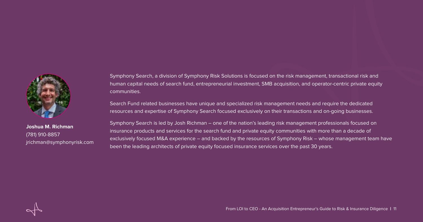

**Joshua M. Richman** (781) 910-8857 [jrichman@symphonyrisk.com](mailto:jrichman%40symphonyrisk.com?subject=)

Symphony Search, a division of Symphony Risk Solutions is focused on the risk management, transactional risk and human capital needs of search fund, entrepreneurial investment, SMB acquisition, and operator-centric private equity communities.

Search Fund related businesses have unique and specialized risk management needs and require the dedicated resources and expertise of Symphony Search focused exclusively on their transactions and on-going businesses.

Symphony Search is led by Josh Richman – one of the nation's leading risk management professionals focused on insurance products and services for the search fund and private equity communities with more than a decade of exclusively focused M&A experience – and backed by the resources of Symphony Risk – whose management team have been the leading architects of private equity focused insurance services over the past 30 years.